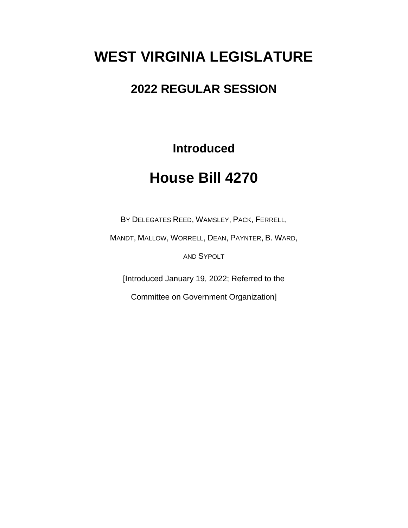# **WEST VIRGINIA LEGISLATURE**

### **2022 REGULAR SESSION**

**Introduced**

## **House Bill 4270**

BY DELEGATES REED, WAMSLEY, PACK, FERRELL,

MANDT, MALLOW, WORRELL, DEAN, PAYNTER, B. WARD,

AND SYPOLT

[Introduced January 19, 2022; Referred to the

Committee on Government Organization]